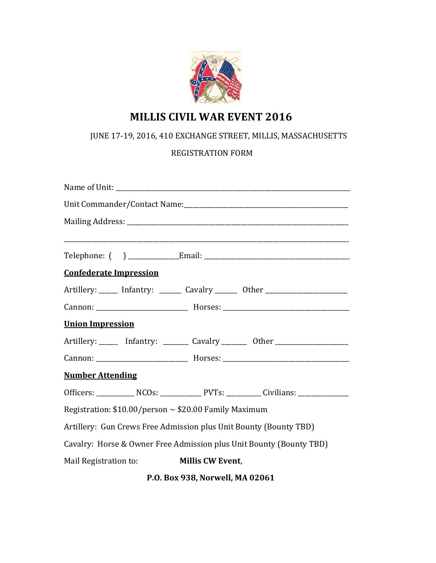

# **MILLIS CIVIL WAR EVENT 2016**

## JUNE 17-19, 2016, 410 EXCHANGE STREET, MILLIS, MASSACHUSETTS

### REGISTRATION FORM

 **P.O. Box 938, Norwell, MA 02061**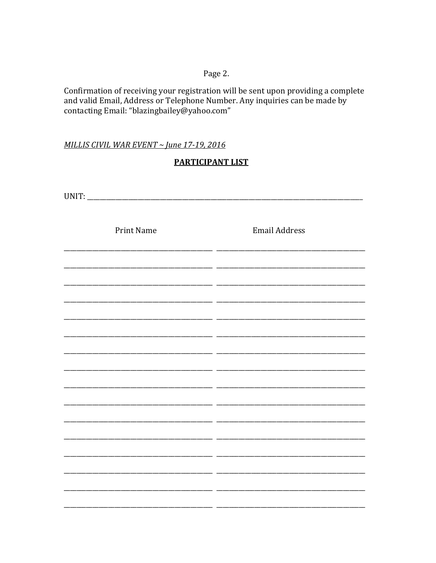#### Page 2.

Confirmation of receiving your registration will be sent upon providing a complete and valid Email, Address or Telephone Number. Any inquiries can be made by contacting Email: "blazingbailey@yahoo.com"

MILLIS CIVIL WAR EVENT ~ June 17-19, 2016

#### **PARTICIPANT LIST**

| Print Name | <b>Email Address</b> |
|------------|----------------------|
|            |                      |
|            |                      |
|            |                      |
|            |                      |
|            |                      |
|            |                      |
|            |                      |
|            |                      |